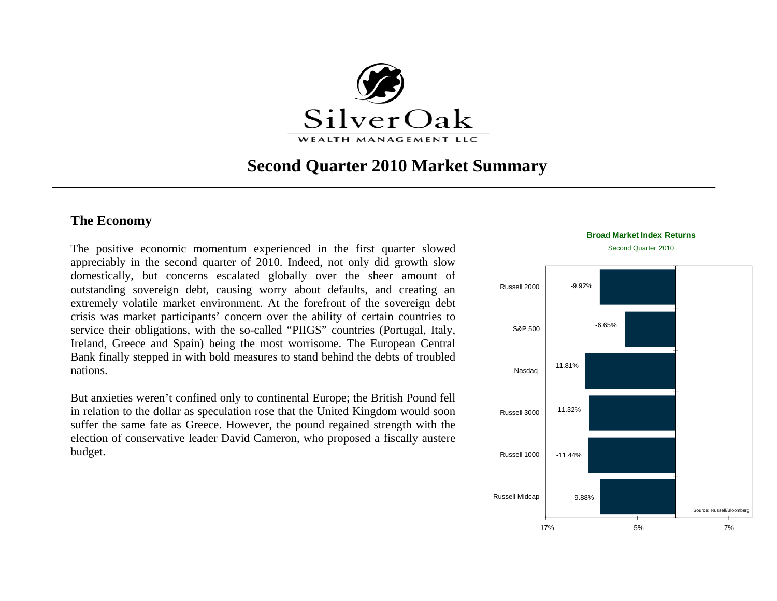

# **Second Quarter 2010 Market Summary**

# **The Economy**

The positive economic momentum experienced in the first quarter slowed appreciably in the second quarter of 2010. Indeed, not only did growth slow domestically, but concerns escalated globally over the sheer amount of outstanding sovereign debt, causing worry about defaults, and creating an extremely volatile market environment. At the forefront of the sovereign debt crisis was market participants' concern over the ability of certain countries to service their obligations, with the so-called "PIIGS" countries (Portugal, Italy, Ireland, Greece and Spain) being the most worrisome. The European Central Bank finally stepped in with bold measures to stand behind the debts of troubled nations.

But anxieties weren't confined only to continental Europe; the British Pound fell in relation to the dollar as speculation rose that the United Kingdom would soon suffer the same fate as Greece. However, the pound regained strength with the election of conservative leader David Cameron, who proposed a fiscally austere budget.



Second Quarter 2010

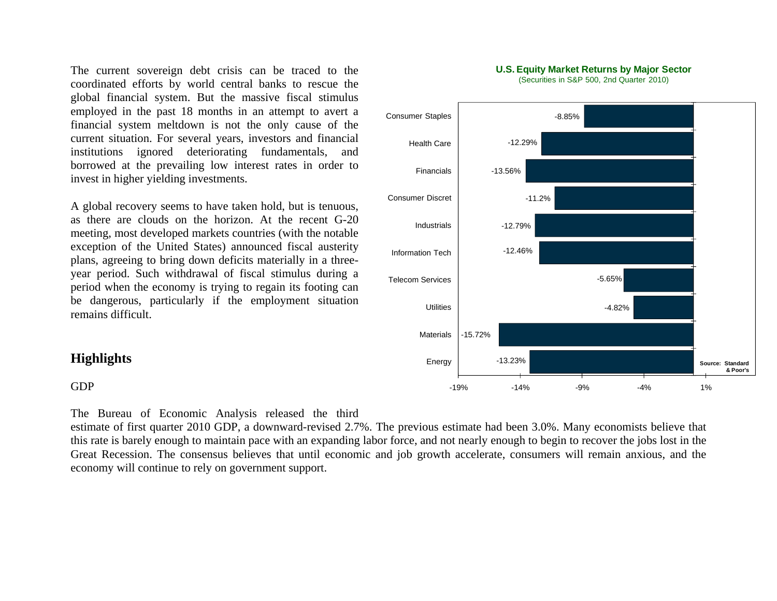The current sovereign debt crisis can be traced to the coordinated efforts by world central banks to rescue the global financial system. But the massive fiscal stimulus employed in the past 18 months in an attempt to avert a financial system meltdown is not the only cause of the current situation. For several years, investors and financial institutions ignored deteriorating fundamentals, and borrowed at the prevailing low interest rates in order to invest in higher yielding investments.

A global recovery seems to have taken hold, but is tenuous, as there are clouds on the horizon. At the recent G-20 meeting, most developed markets countries (with the notable exception of the United States) announced fiscal austerity plans, agreeing to bring down deficits materially in a threeyear period. Such withdrawal of fiscal stimulus during a period when the economy is trying to regain its footing can be dangerous, particularly if the employment situation remains difficult.

## **Highlights**

#### GDP

The Bureau of Economic Analysis released the third

estimate of first quarter 2010 GDP, a downward-revised 2.7%. The previous estimate had been 3.0%. Many economists believe that this rate is barely enough to maintain pace with an expanding labor force, and not nearly enough to begin to recover the jobs lost in the Great Recession. The consensus believes that until economic and job growth accelerate, consumers will remain anxious, and the economy will continue to rely on government support.



(Securities in S&P 500, 2nd Quarter 2010)

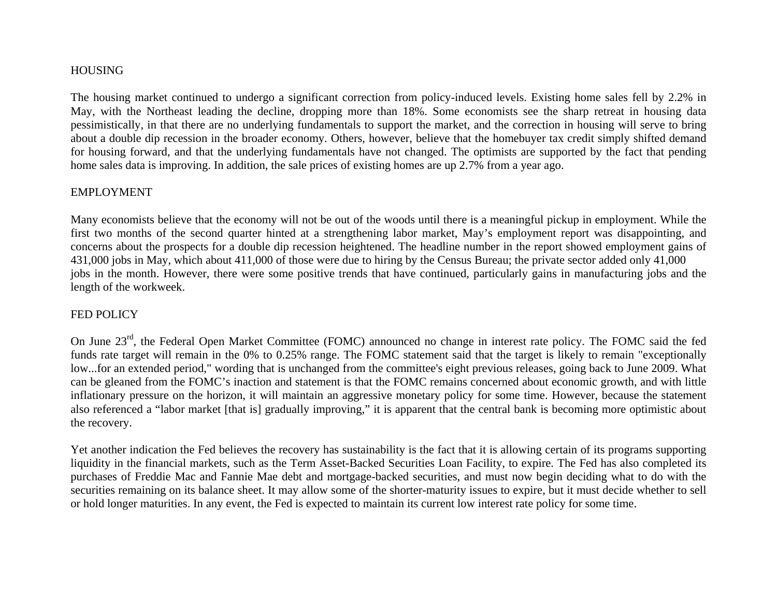#### HOUSING

The housing market continued to undergo a significant correction from policy-induced levels. Existing home sales fell by 2.2% in May, with the Northeast leading the decline, dropping more than 18%. Some economists see the sharp retreat in housing data pessimistically, in that there are no underlying fundamentals to support the market, and the correction in housing will serve to bring about a double dip recession in the broader economy. Others, however, believe that the homebuyer tax credit simply shifted demand for housing forward, and that the underlying fundamentals have not changed. The optimists are supported by the fact that pending home sales data is improving. In addition, the sale prices of existing homes are up 2.7% from a year ago.

#### EMPLOYMENT

Many economists believe that the economy will not be out of the woods until there is a meaningful pickup in employment. While the first two months of the second quarter hinted at a strengthening labor market, May's employment report was disappointing, and concerns about the prospects for a double dip recession heightened. The headline number in the report showed employment gains of 431,000 jobs in May, which about 411,000 of those were due to hiring by the Census Bureau; the private sector added only 41,000 jobs in the month. However, there were some positive trends that have continued, particularly gains in manufacturing jobs and the length of the workweek.

#### FED POLICY

On June 23<sup>rd</sup>, the Federal Open Market Committee (FOMC) announced no change in interest rate policy. The FOMC said the fed funds rate target will remain in the 0% to 0.25% range. The FOMC statement said that the target is likely to remain "exceptionally low...for an extended period," wording that is unchanged from the committee's eight previous releases, going back to June 2009. What can be gleaned from the FOMC's inaction and statement is that the FOMC remains concerned about economic growth, and with little inflationary pressure on the horizon, it will maintain an aggressive monetary policy for some time. However, because the statement also referenced a "labor market [that is] gradually improving," it is apparent that the central bank is becoming more optimistic about the recovery.

Yet another indication the Fed believes the recovery has sustainability is the fact that it is allowing certain of its programs supporting liquidity in the financial markets, such as the Term Asset-Backed Securities Loan Facility, to expire. The Fed has also completed its purchases of Freddie Mac and Fannie Mae debt and mortgage-backed securities, and must now begin deciding what to do with the securities remaining on its balance sheet. It may allow some of the shorter-maturity issues to expire, but it must decide whether to sell or hold longer maturities. In any event, the Fed is expected to maintain its current low interest rate policy for some time.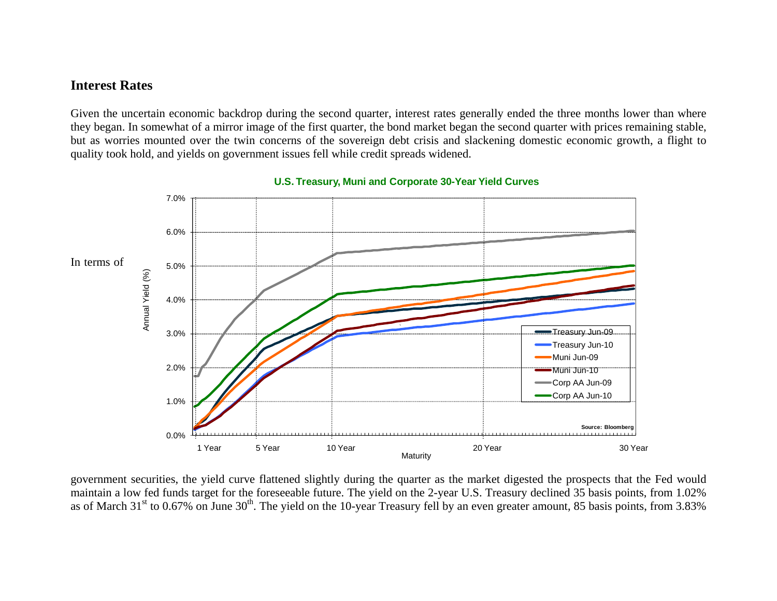# **Interest Rates**

Given the uncertain economic backdrop during the second quarter, interest rates generally ended the three months lower than where they began. In somewhat of a mirror image of the first quarter, the bond market began the second quarter with prices remaining stable, but as worries mounted over the twin concerns of the sovereign debt crisis and slackening domestic economic growth, a flight to quality took hold, and yields on government issues fell while credit spreads widened.



#### **U.S. Treasury, Muni and Corporate 30-Year Yield Curves**

government securities, the yield curve flattened slightly during the quarter as the market digested the prospects that the Fed would maintain a low fed funds target for the foreseeable future. The yield on the 2-year U.S. Treasury declined 35 basis points, from 1.02% as of March 31<sup>st</sup> to 0.67% on June 30<sup>th</sup>. The yield on the 10-year Treasury fell by an even greater amount, 85 basis points, from 3.83%